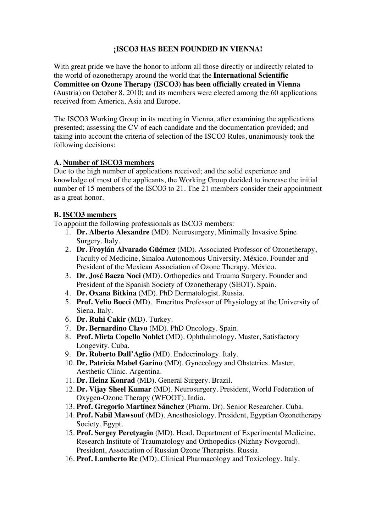# **¡ISCO3 HAS BEEN FOUNDED IN VIENNA!**

With great pride we have the honor to inform all those directly or indirectly related to the world of ozonetherapy around the world that the **International Scientific Committee on Ozone Therapy (ISCO3) has been officially created in Vienna** (Austria) on October 8, 2010; and its members were elected among the 60 applications received from America, Asia and Europe.

The ISCO3 Working Group in its meeting in Vienna, after examining the applications presented; assessing the CV of each candidate and the documentation provided; and taking into account the criteria of selection of the ISCO3 Rules, unanimously took the following decisions:

# **A. Number of ISCO3 members**

Due to the high number of applications received; and the solid experience and knowledge of most of the applicants, the Working Group decided to increase the initial number of 15 members of the ISCO3 to 21. The 21 members consider their appointment as a great honor.

## **B. ISCO3 members**

To appoint the following professionals as ISCO3 members:

- 1. **Dr. Alberto Alexandre** (MD). Neurosurgery, Minimally Invasive Spine Surgery. Italy.
- 2. **Dr. Froylán Alvarado Güémez** (MD). Associated Professor of Ozonetherapy, Faculty of Medicine, Sinaloa Autonomous University. México. Founder and President of the Mexican Association of Ozone Therapy. México.
- 3. **Dr. José Baeza Noci** (MD). Orthopedics and Trauma Surgery. Founder and President of the Spanish Society of Ozonetherapy (SEOT). Spain.
- 4. **Dr. Oxana Bitkina** (MD). PhD Dermatologist. Russia.
- 5. **Prof. Velio Bocci** (MD). Emeritus Professor of Physiology at the University of Siena. Italy.
- 6. **Dr. Ruhi Cakir** (MD). Turkey.
- 7. **Dr. Bernardino Clavo** (MD). PhD Oncology. Spain.
- 8. **Prof. Mirta Copello Noblet** (MD). Ophthalmology. Master, Satisfactory Longevity. Cuba.
- 9. **Dr. Roberto Dall'Aglio** (MD). Endocrinology. Italy.
- 10. **Dr. Patricia Mabel Garino** (MD). Gynecology and Obstetrics. Master, Aesthetic Clinic. Argentina.
- 11. **Dr. Heinz Konrad** (MD). General Surgery. Brazil.
- 12. **Dr. Vijay Sheel Kumar** (MD). Neurosurgery. President, World Federation of Oxygen-Ozone Therapy (WFOOT). India.
- 13. **Prof. Gregorio Martínez Sánchez** (Pharm. Dr). Senior Researcher. Cuba.
- 14. **Prof. Nabil Mawsouf** (MD). Anesthesiology. President, Egyptian Ozonetherapy Society. Egypt.
- 15. **Prof. Sergey Peretyagin** (MD). Head, Department of Experimental Medicine, Research Institute of Traumatology and Orthopedics (Nizhny Novgorod). President, Association of Russian Ozone Therapists. Russia.
- 16. **Prof. Lamberto Re** (MD). Clinical Pharmacology and Toxicology. Italy.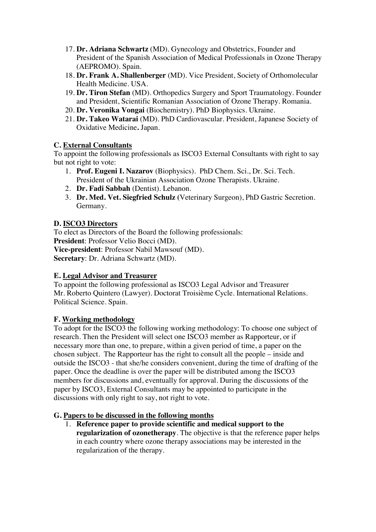- 17. **Dr. Adriana Schwartz** (MD). Gynecology and Obstetrics, Founder and President of the Spanish Association of Medical Professionals in Ozone Therapy (AEPROMO). Spain.
- 18. **Dr. Frank A. Shallenberger** (MD). Vice President, Society of Orthomolecular Health Medicine. USA.
- 19. **Dr. Tiron Stefan** (MD). Orthopedics Surgery and Sport Traumatology. Founder and President, Scientific Romanian Association of Ozone Therapy. Romania.
- 20. **Dr. Veronika Vongai** (Biochemistry). PhD Biophysics. Ukraine.
- 21. **Dr. Takeo Watarai** (MD). PhD Cardiovascular. President, Japanese Society of Oxidative Medicine**.** Japan.

## **C. External Consultants**

To appoint the following professionals as ISCO3 External Consultants with right to say but not right to vote:

- 1. **Prof. Eugeni I. Nazarov** (Biophysics). PhD Chem. Sci., Dr. Sci. Tech. President of the Ukrainian Association Ozone Therapists. Ukraine.
- 2. **Dr. Fadi Sabbah** (Dentist). Lebanon.
- 3. **Dr. Med. Vet. Siegfried Schulz (**Veterinary Surgeon), PhD Gastric Secretion. Germany.

## **D. ISCO3 Directors**

To elect as Directors of the Board the following professionals: **President**: Professor Velio Bocci (MD). **Vice-president**: Professor Nabil Mawsouf (MD). **Secretary**: Dr. Adriana Schwartz (MD).

#### **E. Legal Advisor and Treasurer**

To appoint the following professional as ISCO3 Legal Advisor and Treasurer Mr. Roberto Quintero (Lawyer). Doctorat Troisième Cycle. International Relations. Political Science. Spain.

#### **F. Working methodology**

To adopt for the ISCO3 the following working methodology: To choose one subject of research. Then the President will select one ISCO3 member as Rapporteur, or if necessary more than one, to prepare, within a given period of time, a paper on the chosen subject. The Rapporteur has the right to consult all the people – inside and outside the ISCO3 - that she/he considers convenient, during the time of drafting of the paper. Once the deadline is over the paper will be distributed among the ISCO3 members for discussions and, eventually for approval. During the discussions of the paper by ISCO3, External Consultants may be appointed to participate in the discussions with only right to say, not right to vote.

#### **G. Papers to be discussed in the following months**

1. **Reference paper to provide scientific and medical support to the regularization of ozonetherapy**. The objective is that the reference paper helps in each country where ozone therapy associations may be interested in the regularization of the therapy.